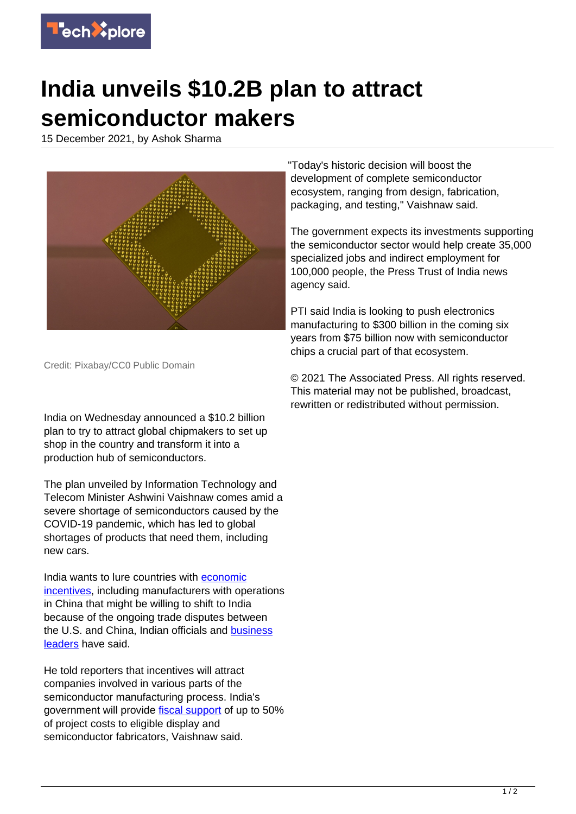

## **India unveils \$10.2B plan to attract semiconductor makers**

15 December 2021, by Ashok Sharma



"Today's historic decision will boost the development of complete semiconductor ecosystem, ranging from design, fabrication, packaging, and testing," Vaishnaw said.

The government expects its investments supporting the semiconductor sector would help create 35,000 specialized jobs and indirect employment for 100,000 people, the Press Trust of India news agency said.

PTI said India is looking to push electronics manufacturing to \$300 billion in the coming six years from \$75 billion now with semiconductor chips a crucial part of that ecosystem.

Credit: Pixabay/CC0 Public Domain

India on Wednesday announced a \$10.2 billion plan to try to attract global chipmakers to set up shop in the country and transform it into a production hub of semiconductors.

The plan unveiled by Information Technology and Telecom Minister Ashwini Vaishnaw comes amid a severe shortage of semiconductors caused by the COVID-19 pandemic, which has led to global shortages of products that need them, including new cars.

India wants to lure countries with [economic](https://techxplore.com/tags/economic+incentives/) [incentives](https://techxplore.com/tags/economic+incentives/), including manufacturers with operations in China that might be willing to shift to India because of the ongoing trade disputes between the U.S. and China, Indian officials and [business](https://techxplore.com/tags/business+leaders/) [leaders](https://techxplore.com/tags/business+leaders/) have said.

He told reporters that incentives will attract companies involved in various parts of the semiconductor manufacturing process. India's government will provide [fiscal support](https://techxplore.com/tags/fiscal+support/) of up to 50% of project costs to eligible display and semiconductor fabricators, Vaishnaw said.

© 2021 The Associated Press. All rights reserved. This material may not be published, broadcast, rewritten or redistributed without permission.